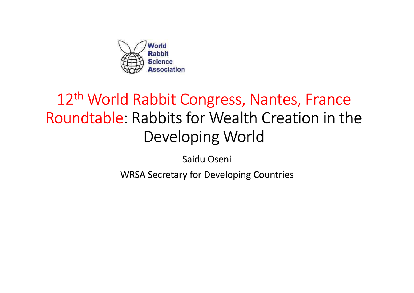

# 12<sup>th</sup> World Rabbit Congress, Nantes, France Roundtable: Rabbits for Wealth Creation in the Developing World

Saidu Oseni

WRSA Secretary for Developing Countries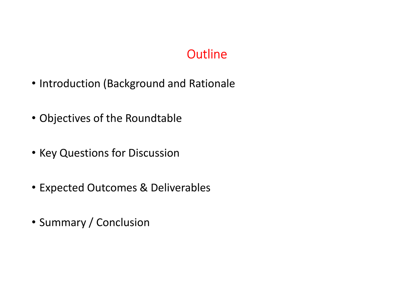### **Outline**

- Introduction (Background and Rationale
- Objectives of the Roundtable
- Key Questions for Discussion
- Expected Outcomes & Deliverables
- Summary / Conclusion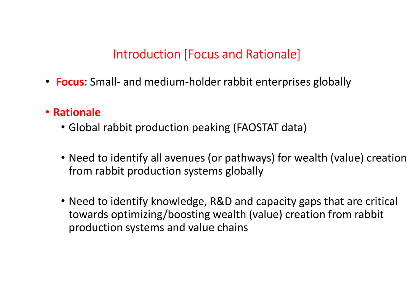### Introduction [Focus and Rationale]

- Introduction [Focus and Rationale]<br>• Focus: Small- and medium-holder rabbit enterprises globally<br>• Rationale
- Rationale
	- Global rabbit production peaking (FAOSTAT data)
	- Need to identify all avenues (or pathways) for wealth (value) creation from rabbit production systems globally
	- Need to identify knowledge, R&D and capacity gaps that are critical towards optimizing/boosting wealth (value) creation from rabbit production systems and value chains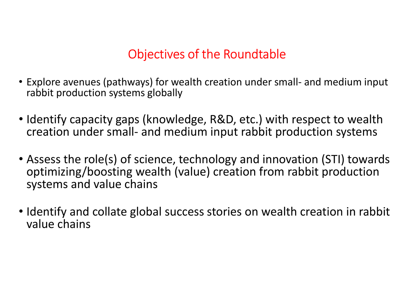### Objectives of the Roundtable

- Objectives of the Roundtable<br>• Explore avenues (pathways) for wealth creation under small- and medium input<br>• Identify canacity gans (knowledge, B&D, etc.) with respect to wealth rabbit production systems globally
- Identify capacity gaps (knowledge, R&D, etc.) with respect to wealth creation under small- and medium input rabbit production systems Objectives of the Roundtable<br>Explore avenues (pathways) for wealth creation under small- and medium input<br>rabbit production systems globally<br>Identify capacity gaps (knowledge, R&D, etc.) with respect to wealth<br>creation und
- Assess the role(s) of science, technology and innovation (STI) towards optimizing/boosting wealth (value) creation from rabbit production systems and value chains
- Identify and collate global success stories on wealth creation in rabbit value chains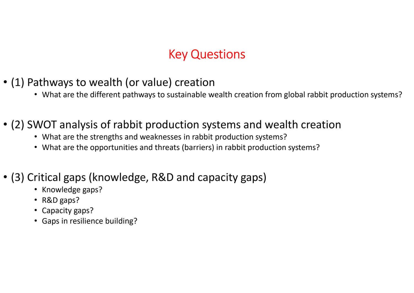### Key Questions

- (1) Pathways to wealth (or value) creation
	- What are the different pathways to sustainable wealth creation from global rabbit production systems?

#### • (2) SWOT analysis of rabbit production systems and wealth creation

- What are the strengths and weaknesses in rabbit production systems?
- What are the opportunities and threats (barriers) in rabbit production systems?

#### • (3) Critical gaps (knowledge, R&D and capacity gaps)

- Knowledge gaps?
- R&D gaps?
- Capacity gaps?
- Gaps in resilience building?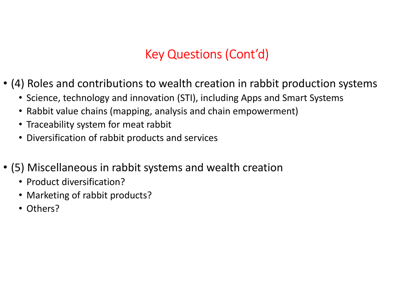### Key Questions (Cont'd)

- (4) Roles and contributions to wealth creation in rabbit production systems
	- Science, technology and innovation (STI), including Apps and Smart Systems
	- Rabbit value chains (mapping, analysis and chain empowerment)
	- Traceability system for meat rabbit
	- Diversification of rabbit products and services
- (5) Miscellaneous in rabbit systems and wealth creation
	- Product diversification?
	- Marketing of rabbit products?
	- Others?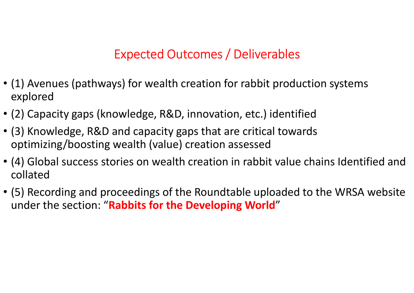### Expected Outcomes / Deliverables

- (1) Avenues (pathways) for wealth creation for rabbit production systems explored
- (2) Capacity gaps (knowledge, R&D, innovation, etc.) identified
- (3) Knowledge, R&D and capacity gaps that are critical towards optimizing/boosting wealth (value) creation assessed
- (4) Global success stories on wealth creation in rabbit value chains Identified and collated
- (5) Recording and proceedings of the Roundtable uploaded to the WRSA website under the section: "Rabbits for the Developing World"